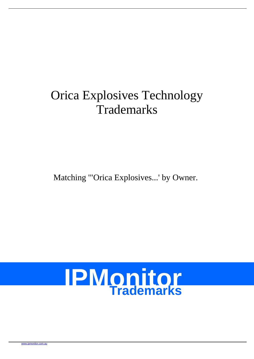# Orica Explosives Technology **Trademarks**

Matching '"Orica Explosives...' by Owner.

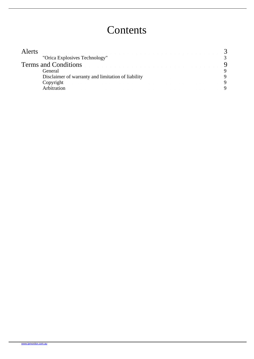## **Contents**

| "Orica Explosives Technology"                      |                             |
|----------------------------------------------------|-----------------------------|
|                                                    |                             |
| General                                            |                             |
| Disclaimer of warranty and limitation of liability |                             |
| Copyright                                          |                             |
| Arhitration                                        |                             |
|                                                    | <b>Terms and Conditions</b> |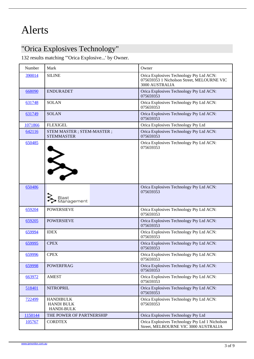### <span id="page-2-0"></span>"Orica Explosives Technology"

132 results matching '"Orica Explosive...' by Owner.

| Number  | Mark                                                       | Owner                                                                                                    |
|---------|------------------------------------------------------------|----------------------------------------------------------------------------------------------------------|
| 390014  | <b>SILINE</b>                                              | Orica Explosives Technology Pty Ltd ACN:<br>075659353 1 Nicholson Street, MELOURNE VIO<br>3000 AUSTRALIA |
| 668090  | <b>ENDURADET</b>                                           | Orica Explosives Technology Pty Ltd ACN:<br>075659353                                                    |
| 631748  | <b>SOLAN</b>                                               | Orica Explosives Technology Pty Ltd ACN:<br>075659353                                                    |
| 631749  | <b>SOLAN</b>                                               | Orica Explosives Technology Pty Ltd ACN:<br>075659353                                                    |
| 1071866 | <b>FLEXIGEL</b>                                            | Orica Explosives Technology Pty Ltd                                                                      |
| 642116  | STEM MASTER ; STEM-MASTER ;<br><b>STEMMASTER</b>           | Orica Explosives Technology Pty Ltd ACN:<br>075659353                                                    |
| 650485  |                                                            | Orica Explosives Technology Pty Ltd ACN:<br>075659353                                                    |
| 650486  |                                                            | Orica Explosives Technology Pty Ltd ACN:<br>075659353                                                    |
| 659204  | <b>POWERSIEVE</b>                                          | Orica Explosives Technology Pty Ltd ACN:<br>075659353                                                    |
| 659205  | <b>POWERSIEVE</b>                                          | Orica Explosives Technology Pty Ltd ACN:<br>075659353                                                    |
| 659994  | <b>IDEX</b>                                                | Orica Explosives Technology Pty Ltd ACN:<br>075659353                                                    |
| 659995  | <b>CPEX</b>                                                | Orica Explosives Technology Pty Ltd ACN:<br>075659353                                                    |
| 659996  | <b>CPEX</b>                                                | Orica Explosives Technology Pty Ltd ACN:<br>075659353                                                    |
| 659998  | <b>POWERFRAG</b>                                           | Orica Explosives Technology Pty Ltd ACN:<br>075659353                                                    |
| 663972  | <b>AMEST</b>                                               | Orica Explosives Technology Pty Ltd ACN:<br>075659353                                                    |
| 518401  | <b>NITROPRIL</b>                                           | Orica Explosives Technology Pty Ltd ACN:<br>075659353                                                    |
| 722499  | <b>HANDIBULK</b><br><b>HANDI BULK</b><br><b>HANDI-BULK</b> | Orica Explosives Technology Pty Ltd ACN:<br>075659353                                                    |
| 1150144 | THE POWER OF PARTNERSHIP                                   | Orica Explosives Technology Pty Ltd                                                                      |
| 105767  | <b>CORDTEX</b>                                             | Orica Explosives Technology Pty Ltd 1 Nicholson<br>Street, MELBOURNE VIC 3000 AUSTRALIA                  |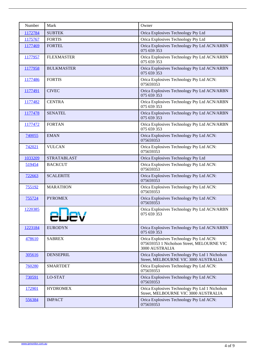| <b>Number</b> | Mark               | Owner                                                                                                    |
|---------------|--------------------|----------------------------------------------------------------------------------------------------------|
| 1172784       | <b>SUBTEK</b>      | Orica Explosives Technology Pty Ltd                                                                      |
| 1175767       | <b>FORTIS</b>      | Orica Explosives Technology Pty Ltd                                                                      |
| 1177469       | <b>FORTEL</b>      | Orica Explosives Technology Pty Ltd ACN/ARBN<br>075 659 353                                              |
| 1177957       | <b>FLEXMASTER</b>  | Orica Explosives Technology Pty Ltd ACN/ARBN<br>075 659 353                                              |
| 1177958       | <b>BULKMASTER</b>  | Orica Explosives Technology Pty Ltd ACN/ARBN<br>075 659 353                                              |
| 1177486       | <b>FORTIS</b>      | Orica Explosives Technology Pty Ltd ACN:<br>075659353                                                    |
| 1177491       | <b>CIVEC</b>       | Orica Explosives Technology Pty Ltd ACN/ARBN<br>075 659 353                                              |
| 1177482       | <b>CENTRA</b>      | Orica Explosives Technology Pty Ltd ACN/ARBN<br>075 659 353                                              |
| 1177478       | <b>SENATEL</b>     | Orica Explosives Technology Pty Ltd ACN/ARBN<br>075 659 353                                              |
| 1177472       | <b>FORTAN</b>      | Orica Explosives Technology Pty Ltd ACN/ARBN<br>075 659 353                                              |
| 740055        | <b>EMAN</b>        | Orica Explosives Technology Pty Ltd ACN:<br>075659353                                                    |
| 742021        | <b>VULCAN</b>      | Orica Explosives Technology Pty Ltd ACN:<br>075659353                                                    |
| 1033209       | <b>STRATABLAST</b> | Orica Explosives Technology Pty Ltd                                                                      |
| 519454        | <b>BACKCUT</b>     | Orica Explosives Technology Pty Ltd ACN:<br>075659353                                                    |
| 722663        | <b>SCALERITE</b>   | Orica Explosives Technology Pty Ltd ACN:<br>075659353                                                    |
| 755192        | <b>MARATHON</b>    | Orica Explosives Technology Pty Ltd ACN:<br>075659353                                                    |
| 755724        | <b>PYROMEX</b>     | Orica Explosives Technology Pty Ltd ACN:<br>075659353                                                    |
| 1220385       |                    | Orica Explosives Technology Pty Ltd ACN/ARBN<br>075 659 353                                              |
| 1223184       | <b>EURODYN</b>     | Orica Explosives Technology Pty Ltd ACN/ARBN<br>075 659 353                                              |
| 478610        | <b>SABREX</b>      | Orica Explosives Technology Pty Ltd ACN:<br>075659353 1 Nicholson Street, MELOURNE VIO<br>3000 AUSTRALIA |
| 305616        | <b>DENSEPRIL</b>   | Orica Explosives Technology Pty Ltd 1 Nicholson<br>Street, MELBOURNE VIC 3000 AUSTRALIA                  |
| 760280        | <b>SMARTDET</b>    | Orica Explosives Technology Pty Ltd ACN:<br>075659353                                                    |
| 730591        | LO-STAT            | Orica Explosives Technology Pty Ltd ACN:<br>075659353                                                    |
| 172901        | <b>HYDROMEX</b>    | Orica Explosives Technology Pty Ltd 1 Nicholson<br>Street, MELBOURNE VIC 3000 AUSTRALIA                  |
| 556384        | <b>IMPACT</b>      | Orica Explosives Technology Pty Ltd ACN:<br>075659353                                                    |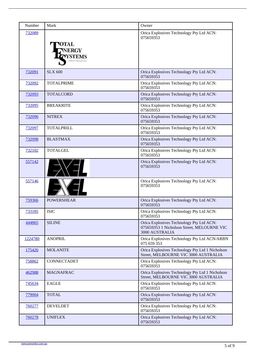| Number  | Mark              | Owner                                                                                                    |
|---------|-------------------|----------------------------------------------------------------------------------------------------------|
| 732089  |                   | Orica Explosives Technology Pty Ltd ACN:<br>075659353                                                    |
| 732091  | <b>SLX 600</b>    | Orica Explosives Technology Pty Ltd ACN:<br>075659353                                                    |
| 732092  | <b>TOTALPRIME</b> | Orica Explosives Technology Pty Ltd ACN:<br>075659353                                                    |
| 732093  | <b>TOTALCORD</b>  | Orica Explosives Technology Pty Ltd ACN:<br>075659353                                                    |
| 732095  | <b>BREAKRITE</b>  | Orica Explosives Technology Pty Ltd ACN:<br>075659353                                                    |
| 732096  | <b>NITREX</b>     | Orica Explosives Technology Pty Ltd ACN:<br>075659353                                                    |
| 732097  | <b>TOTALPRILL</b> | Orica Explosives Technology Pty Ltd ACN:<br>075659353                                                    |
| 732098  | <b>BLASTMAX</b>   | Orica Explosives Technology Pty Ltd ACN:<br>075659353                                                    |
| 732102  | <b>TOTALGEL</b>   | Orica Explosives Technology Pty Ltd ACN:<br>075659353                                                    |
| 557142  |                   | Orica Explosives Technology Pty Ltd ACN:<br>075659353                                                    |
| 557146  |                   | Orica Explosives Technology Pty Ltd ACN:<br>075659353                                                    |
| 759366  | <b>POWERSHEAR</b> | Orica Explosives Technology Pty Ltd ACN:<br>075659353                                                    |
| 733185  | <b>ISIC</b>       | Orica Explosives Technology Pty Ltd ACN:<br>075659353                                                    |
| 444865  | <b>SILINE</b>     | Orica Explosives Technology Pty Ltd ACN:<br>075659353 1 Nicholson Street, MELOURNE VIO<br>3000 AUSTRALIA |
| 1224780 | <b>ANOPRIL</b>    | Orica Explosives Technology Pty Ltd ACN/ARBN<br>075 659 353                                              |
| 175426  | <b>MOLANITE</b>   | Orica Explosives Technology Pty Ltd 1 Nicholson<br>Street, MELBOURNE VIC 3000 AUSTRALIA                  |
| 758862  | CONNECTADET       | Orica Explosives Technology Pty Ltd ACN:<br>075659353                                                    |
| 462988  | <b>MAGNAFRAC</b>  | Orica Explosives Technology Pty Ltd 1 Nicholson<br>Street, MELBOURNE VIC 3000 AUSTRALIA                  |
| 745634  | <b>EAGLE</b>      | Orica Explosives Technology Pty Ltd ACN:<br>075659353                                                    |
| 779004  | <b>TOTAL</b>      | Orica Explosives Technology Pty Ltd ACN:<br>075659353                                                    |
| 760277  | <b>DEVELDET</b>   | Orica Explosives Technology Pty Ltd ACN:<br>075659353                                                    |
| 760278  | <b>UNIFLEX</b>    | Orica Explosives Technology Pty Ltd ACN:<br>075659353                                                    |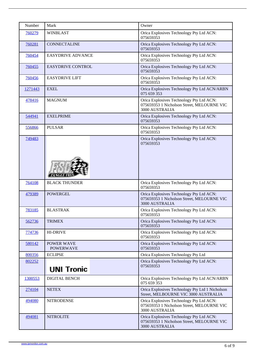| Number  | Mark                                  | Owner                                                                                                    |
|---------|---------------------------------------|----------------------------------------------------------------------------------------------------------|
| 760279  | <b>WINBLAST</b>                       | Orica Explosives Technology Pty Ltd ACN:<br>075659353                                                    |
| 760281  | <b>CONNECTALINE</b>                   | Orica Explosives Technology Pty Ltd ACN:<br>075659353                                                    |
| 760454  | <b>EASYDRIVE ADVANCE</b>              | Orica Explosives Technology Pty Ltd ACN:<br>075659353                                                    |
| 760455  | <b>EASYDRIVE CONTROL</b>              | Orica Explosives Technology Pty Ltd ACN:<br>075659353                                                    |
| 760456  | <b>EASYDRIVE LIFT</b>                 | Orica Explosives Technology Pty Ltd ACN:<br>075659353                                                    |
| 1271443 | <b>EXEL</b>                           | Orica Explosives Technology Pty Ltd ACN/ARBN<br>075 659 353                                              |
| 478416  | <b>MAGNUM</b>                         | Orica Explosives Technology Pty Ltd ACN:<br>075659353 1 Nicholson Street, MELOURNE VIO<br>3000 AUSTRALIA |
| 544941  | <b>EXELPRIME</b>                      | Orica Explosives Technology Pty Ltd ACN:<br>075659353                                                    |
| 556866  | <b>PULSAR</b>                         | Orica Explosives Technology Pty Ltd ACN:<br>075659353                                                    |
| 749483  |                                       | Orica Explosives Technology Pty Ltd ACN:<br>075659353                                                    |
| 764108  | <b>BLACK THUNDER</b>                  | Orica Explosives Technology Pty Ltd ACN:<br>075659353                                                    |
| 479389  | <b>POWERGEL</b>                       | Orica Explosives Technology Pty Ltd ACN:<br>075659353 1 Nicholson Street, MELOURNE VIC<br>3000 AUSTRALIA |
| 783185  | <b>BLASTRAK</b>                       | Orica Explosives Technology Pty Ltd ACN:<br>075659353                                                    |
| 562736  | <b>TRIMEX</b>                         | Orica Explosives Technology Pty Ltd ACN:<br>075659353                                                    |
| 774736  | <b>HI-DRIVE</b>                       | Orica Explosives Technology Pty Ltd ACN:<br>075659353                                                    |
| 580142  | <b>POWER WAVE</b><br><b>POWERWAVE</b> | Orica Explosives Technology Pty Ltd ACN:<br>075659353                                                    |
| 800356  | <b>ECLIPSE</b>                        | Orica Explosives Technology Pty Ltd                                                                      |
| 802252  |                                       | Orica Explosives Technology Pty Ltd ACN:<br>075659353                                                    |
| 1300553 | <b>DIGITAL BENCH</b>                  | Orica Explosives Technology Pty Ltd ACN/ARBN<br>075 659 353                                              |
| 274104  | <b>NETEX</b>                          | Orica Explosives Technology Pty Ltd 1 Nicholson<br>Street, MELBOURNE VIC 3000 AUSTRALIA                  |
| 494080  | <b>NITRODENSE</b>                     | Orica Explosives Technology Pty Ltd ACN:<br>075659353 1 Nicholson Street, MELOURNE VIO<br>3000 AUSTRALIA |
| 494081  | <b>NITROLITE</b>                      | Orica Explosives Technology Pty Ltd ACN:<br>075659353 1 Nicholson Street, MELOURNE VIC<br>3000 AUSTRALIA |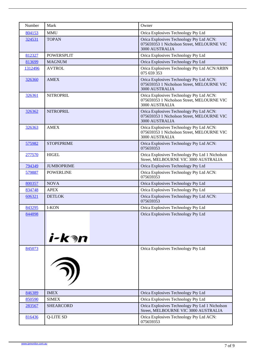| Number        | Mark              | Owner                                                                                                    |
|---------------|-------------------|----------------------------------------------------------------------------------------------------------|
| 804153        | <b>MMU</b>        | Orica Explosives Technology Pty Ltd                                                                      |
| 324531        | <b>TOPAN</b>      | Orica Explosives Technology Pty Ltd ACN:<br>075659353 1 Nicholson Street, MELOURNE VIO<br>3000 AUSTRALIA |
| 812327        | <b>POWERSPLIT</b> | Orica Explosives Technology Pty Ltd                                                                      |
| 813699        | <b>MAGNUM</b>     | Orica Explosives Technology Pty Ltd                                                                      |
| 1312496       | <b>AVTROL</b>     | Orica Explosives Technology Pty Ltd ACN/ARBN<br>075 659 353                                              |
| 326360        | <b>AMEX</b>       | Orica Explosives Technology Pty Ltd ACN:<br>075659353 1 Nicholson Street, MELOURNE VIC<br>3000 AUSTRALIA |
| 326361        | <b>NITROPRIL</b>  | Orica Explosives Technology Pty Ltd ACN:<br>075659353 1 Nicholson Street, MELOURNE VIC<br>3000 AUSTRALIA |
| 326362        | <b>NITROPRIL</b>  | Orica Explosives Technology Pty Ltd ACN:<br>075659353 1 Nicholson Street, MELOURNE VIC<br>3000 AUSTRALIA |
| 326363        | AMEX              | Orica Explosives Technology Pty Ltd ACN:<br>075659353 1 Nicholson Street, MELOURNE VIO<br>3000 AUSTRALIA |
| 575982        | <b>STOPEPRIME</b> | Orica Explosives Technology Pty Ltd ACN:<br>075659353                                                    |
| 277570        | <b>HIGEL</b>      | Orica Explosives Technology Pty Ltd 1 Nicholson<br>Street, MELBOURNE VIC 3000 AUSTRALIA                  |
| 794349        | <b>JUMBOPRIME</b> | Orica Explosives Technology Pty Ltd                                                                      |
| 579887        | <b>POWERLINE</b>  | Orica Explosives Technology Pty Ltd ACN:<br>075659353                                                    |
| 800357        | <b>NOVA</b>       | Orica Explosives Technology Pty Ltd                                                                      |
| 834748        | <b>APEX</b>       | Orica Explosives Technology Pty Ltd                                                                      |
| 606321        | <b>DETLOK</b>     | Orica Explosives Technology Pty Ltd ACN:<br>075659353                                                    |
| 843295        | <b>I-KON</b>      | Orica Explosives Technology Pty Ltd                                                                      |
| <u>844898</u> |                   | Orica Explosives Technology Pty Ltd                                                                      |
| 845073        |                   | Orica Explosives Technology Pty Ltd                                                                      |
| 846389        | <b>IMEX</b>       | Orica Explosives Technology Pty Ltd                                                                      |
| 850590        | <b>SIMEX</b>      | Orica Explosives Technology Pty Ltd                                                                      |
| 283567        | <b>SHEARCORD</b>  | Orica Explosives Technology Pty Ltd 1 Nicholson<br>Street, MELBOURNE VIC 3000 AUSTRALIA                  |
| 816436        | Q-LITE SD         | Orica Explosives Technology Pty Ltd ACN:<br>075659353                                                    |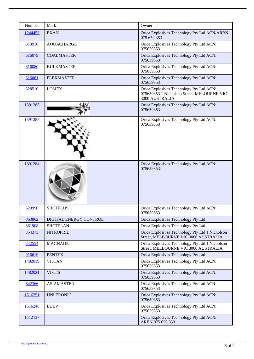| Number  | Mark                          | Owner                                                                                                    |
|---------|-------------------------------|----------------------------------------------------------------------------------------------------------|
| 1244453 | <b>EXAN</b>                   | Orica Explosives Technology Pty Ltd ACN/ARBN<br>075 659 353                                              |
| 613916  | AQUACHARGE                    | Orica Explosives Technology Pty Ltd ACN:<br>075659353                                                    |
| 616079  | <b>COALMASTER</b>             | Orica Explosives Technology Pty Ltd ACN:<br>075659353                                                    |
| 616080  | <b>BULKMASTER</b>             | Orica Explosives Technology Pty Ltd ACN:<br>075659353                                                    |
| 616081  | <b>FLEXMASTER</b>             | Orica Explosives Technology Pty Ltd ACN:<br>075659353                                                    |
| 328510  | <b>LOMEX</b>                  | Orica Explosives Technology Pty Ltd ACN:<br>075659353 1 Nicholson Street, MELOURNE VIO<br>3000 AUSTRALIA |
| 1391283 |                               | Orica Explosives Technology Pty Ltd ACN:<br>075659353                                                    |
| 1391285 |                               | Orica Explosives Technology Pty Ltd ACN:<br>075659353                                                    |
| 1391284 |                               | Orica Explosives Technology Pty Ltd ACN:<br>075659353                                                    |
| 629990  | <b>SHOTPLUS</b>               | Orica Explosives Technology Pty Ltd ACN:<br>075659353                                                    |
| 863862  | <b>DIGITAL ENERGY CONTROL</b> | Orica Explosives Technology Pty Ltd                                                                      |
| 861908  | <b>SHOTPLAN</b>               | Orica Explosives Technology Pty Ltd                                                                      |
| 354373  | <b>NITROPRIL</b>              | Orica Explosives Technology Pty Ltd 1 Nicholson<br>Street, MELBOURNE VIC 3000 AUSTRALIA                  |
| 342554  | <b>MAGNADET</b>               | Orica Explosives Technology Pty Ltd 1 Nicholson<br>Street, MELBOURNE VIC 3000 AUSTRALIA                  |
| 916619  | <b>PENTEX</b>                 | Orica Explosives Technology Pty Ltd                                                                      |
| 1482019 | <b>VISTAN</b>                 | Orica Explosives Technology Pty Ltd ACN:<br>075659353                                                    |
| 1482021 | <b>VISTIS</b>                 | Orica Explosives Technology Pty Ltd ACN:<br>075659353                                                    |
| 642366  | <b>ASIAMASTER</b>             | Orica Explosives Technology Pty Ltd ACN:<br>075659353                                                    |
| 1516251 | <b>UNI TRONIC</b>             | Orica Explosives Technology Pty Ltd ACN:<br>075659353                                                    |
| 1516246 | <b>EDEV</b>                   | Orica Explosives Technology Pty Ltd ACN:<br>075659353                                                    |
| 1512137 |                               | Orica Explosives Technology Pty Ltd ACN/<br>ARBN 075 659 353                                             |